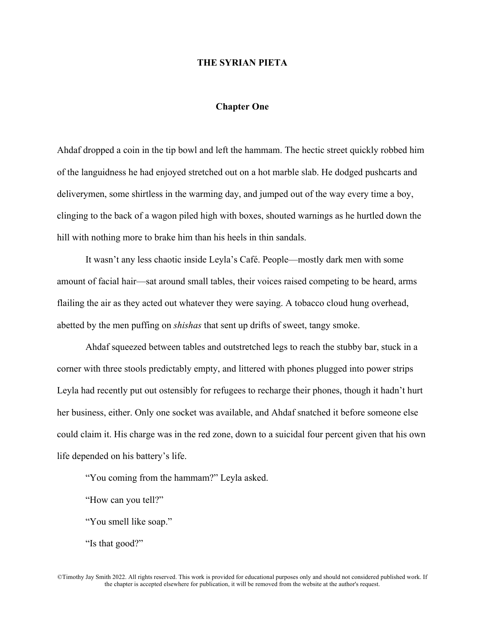# **THE SYRIAN PIETA**

# **Chapter One**

Ahdaf dropped a coin in the tip bowl and left the hammam. The hectic street quickly robbed him of the languidness he had enjoyed stretched out on a hot marble slab. He dodged pushcarts and deliverymen, some shirtless in the warming day, and jumped out of the way every time a boy, clinging to the back of a wagon piled high with boxes, shouted warnings as he hurtled down the hill with nothing more to brake him than his heels in thin sandals.

It wasn't any less chaotic inside Leyla's Café. People—mostly dark men with some amount of facial hair—sat around small tables, their voices raised competing to be heard, arms flailing the air as they acted out whatever they were saying. A tobacco cloud hung overhead, abetted by the men puffing on *shishas* that sent up drifts of sweet, tangy smoke.

Ahdaf squeezed between tables and outstretched legs to reach the stubby bar, stuck in a corner with three stools predictably empty, and littered with phones plugged into power strips Leyla had recently put out ostensibly for refugees to recharge their phones, though it hadn't hurt her business, either. Only one socket was available, and Ahdaf snatched it before someone else could claim it. His charge was in the red zone, down to a suicidal four percent given that his own life depended on his battery's life.

"You coming from the hammam?" Leyla asked.

"How can you tell?"

"You smell like soap."

"Is that good?"

©Timothy Jay Smith 2022. All rights reserved. This work is provided for educational purposes only and should not considered published work. If the chapter is accepted elsewhere for publication, it will be removed from the website at the author's request.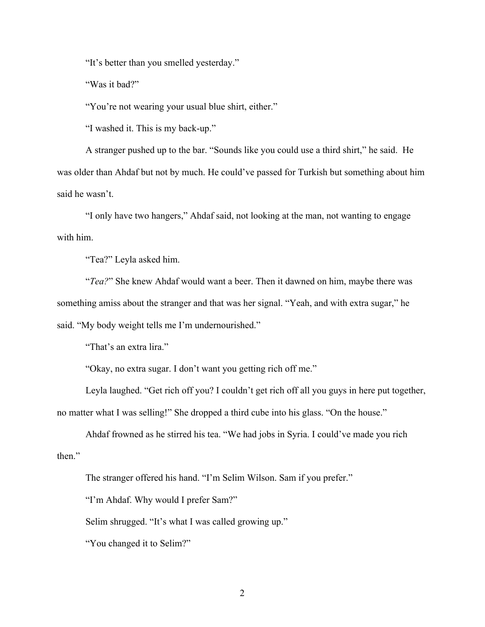"It's better than you smelled yesterday."

"Was it bad?"

"You're not wearing your usual blue shirt, either."

"I washed it. This is my back-up."

A stranger pushed up to the bar. "Sounds like you could use a third shirt," he said. He was older than Ahdaf but not by much. He could've passed for Turkish but something about him said he wasn't.

"I only have two hangers," Ahdaf said, not looking at the man, not wanting to engage with him.

"Tea?" Leyla asked him.

"*Tea?*" She knew Ahdaf would want a beer. Then it dawned on him, maybe there was something amiss about the stranger and that was her signal. "Yeah, and with extra sugar," he said. "My body weight tells me I'm undernourished."

"That's an extra lira."

"Okay, no extra sugar. I don't want you getting rich off me."

Leyla laughed. "Get rich off you? I couldn't get rich off all you guys in here put together, no matter what I was selling!" She dropped a third cube into his glass. "On the house."

Ahdaf frowned as he stirred his tea. "We had jobs in Syria. I could've made you rich then."

The stranger offered his hand. "I'm Selim Wilson. Sam if you prefer."

"I'm Ahdaf. Why would I prefer Sam?"

Selim shrugged. "It's what I was called growing up."

"You changed it to Selim?"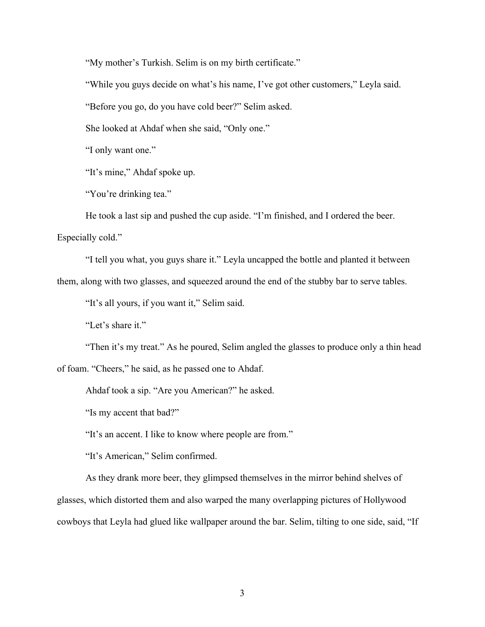"My mother's Turkish. Selim is on my birth certificate."

"While you guys decide on what's his name, I've got other customers," Leyla said.

"Before you go, do you have cold beer?" Selim asked.

She looked at Ahdaf when she said, "Only one."

"I only want one."

"It's mine," Ahdaf spoke up.

"You're drinking tea."

He took a last sip and pushed the cup aside. "I'm finished, and I ordered the beer.

Especially cold."

"I tell you what, you guys share it." Leyla uncapped the bottle and planted it between

them, along with two glasses, and squeezed around the end of the stubby bar to serve tables.

"It's all yours, if you want it," Selim said.

"Let's share it."

"Then it's my treat." As he poured, Selim angled the glasses to produce only a thin head of foam. "Cheers," he said, as he passed one to Ahdaf.

Ahdaf took a sip. "Are you American?" he asked.

"Is my accent that bad?"

"It's an accent. I like to know where people are from."

"It's American," Selim confirmed.

As they drank more beer, they glimpsed themselves in the mirror behind shelves of glasses, which distorted them and also warped the many overlapping pictures of Hollywood cowboys that Leyla had glued like wallpaper around the bar. Selim, tilting to one side, said, "If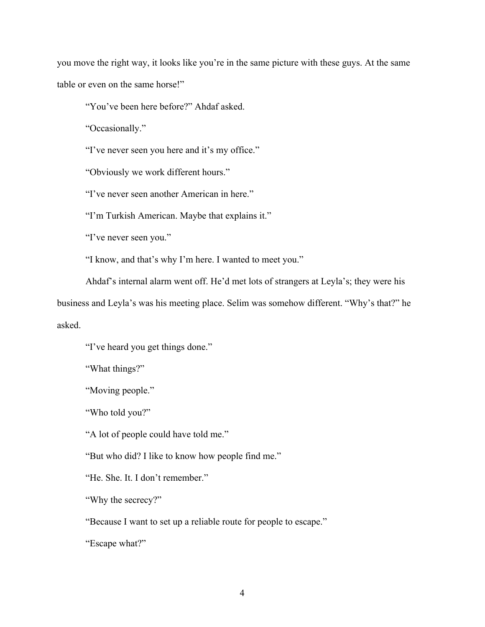you move the right way, it looks like you're in the same picture with these guys. At the same table or even on the same horse!"

"You've been here before?" Ahdaf asked.

"Occasionally."

"I've never seen you here and it's my office."

"Obviously we work different hours."

"I've never seen another American in here."

"I'm Turkish American. Maybe that explains it."

"I've never seen you."

"I know, and that's why I'm here. I wanted to meet you."

Ahdaf's internal alarm went off. He'd met lots of strangers at Leyla's; they were his

business and Leyla's was his meeting place. Selim was somehow different. "Why's that?" he asked.

"I've heard you get things done."

"What things?"

"Moving people."

"Who told you?"

"A lot of people could have told me."

"But who did? I like to know how people find me."

"He. She. It. I don't remember."

"Why the secrecy?"

"Because I want to set up a reliable route for people to escape."

"Escape what?"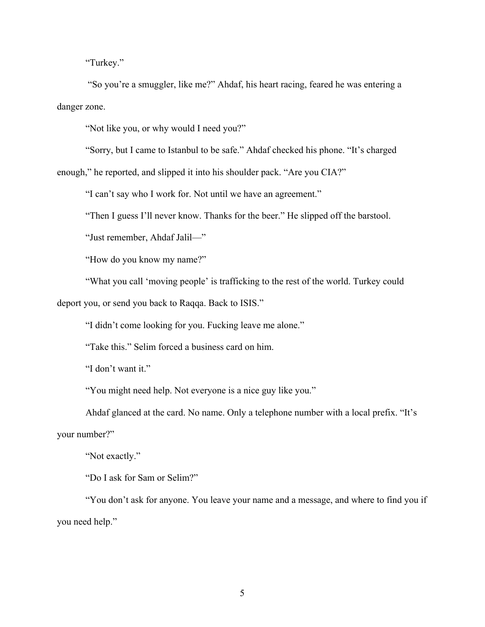"Turkey."

"So you're a smuggler, like me?" Ahdaf, his heart racing, feared he was entering a danger zone.

"Not like you, or why would I need you?"

"Sorry, but I came to Istanbul to be safe." Ahdaf checked his phone. "It's charged enough," he reported, and slipped it into his shoulder pack. "Are you CIA?"

"I can't say who I work for. Not until we have an agreement."

"Then I guess I'll never know. Thanks for the beer." He slipped off the barstool.

"Just remember, Ahdaf Jalil—"

"How do you know my name?"

"What you call 'moving people' is trafficking to the rest of the world. Turkey could deport you, or send you back to Raqqa. Back to ISIS."

"I didn't come looking for you. Fucking leave me alone."

"Take this." Selim forced a business card on him.

"I don't want it."

"You might need help. Not everyone is a nice guy like you."

Ahdaf glanced at the card. No name. Only a telephone number with a local prefix. "It's your number?"

"Not exactly."

"Do I ask for Sam or Selim?"

"You don't ask for anyone. You leave your name and a message, and where to find you if you need help."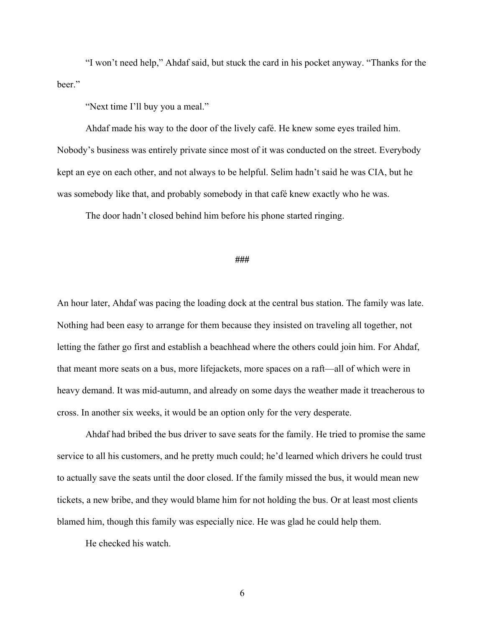"I won't need help," Ahdaf said, but stuck the card in his pocket anyway. "Thanks for the beer."

"Next time I'll buy you a meal."

Ahdaf made his way to the door of the lively café. He knew some eyes trailed him. Nobody's business was entirely private since most of it was conducted on the street. Everybody kept an eye on each other, and not always to be helpful. Selim hadn't said he was CIA, but he was somebody like that, and probably somebody in that café knew exactly who he was.

The door hadn't closed behind him before his phone started ringing.

### **###**

An hour later, Ahdaf was pacing the loading dock at the central bus station. The family was late. Nothing had been easy to arrange for them because they insisted on traveling all together, not letting the father go first and establish a beachhead where the others could join him. For Ahdaf, that meant more seats on a bus, more lifejackets, more spaces on a raft—all of which were in heavy demand. It was mid-autumn, and already on some days the weather made it treacherous to cross. In another six weeks, it would be an option only for the very desperate.

Ahdaf had bribed the bus driver to save seats for the family. He tried to promise the same service to all his customers, and he pretty much could; he'd learned which drivers he could trust to actually save the seats until the door closed. If the family missed the bus, it would mean new tickets, a new bribe, and they would blame him for not holding the bus. Or at least most clients blamed him, though this family was especially nice. He was glad he could help them.

He checked his watch.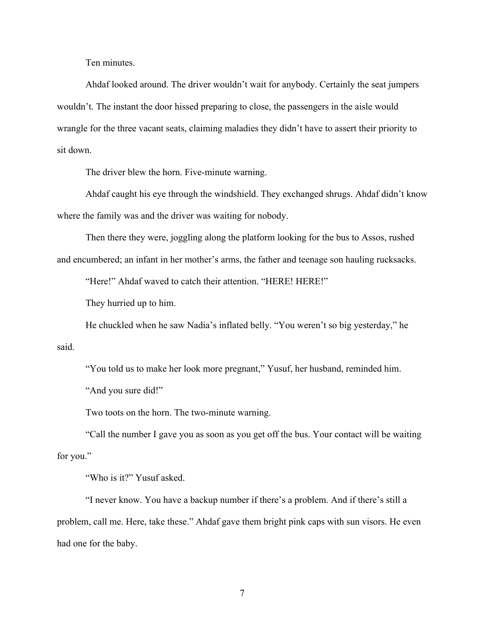Ten minutes.

Ahdaf looked around. The driver wouldn't wait for anybody. Certainly the seat jumpers wouldn't. The instant the door hissed preparing to close, the passengers in the aisle would wrangle for the three vacant seats, claiming maladies they didn't have to assert their priority to sit down.

The driver blew the horn. Five-minute warning.

Ahdaf caught his eye through the windshield. They exchanged shrugs. Ahdaf didn't know where the family was and the driver was waiting for nobody.

Then there they were, joggling along the platform looking for the bus to Assos, rushed and encumbered; an infant in her mother's arms, the father and teenage son hauling rucksacks.

"Here!" Ahdaf waved to catch their attention. "HERE! HERE!"

They hurried up to him.

He chuckled when he saw Nadia's inflated belly. "You weren't so big yesterday," he said.

"You told us to make her look more pregnant," Yusuf, her husband, reminded him.

"And you sure did!"

Two toots on the horn. The two-minute warning.

"Call the number I gave you as soon as you get off the bus. Your contact will be waiting for you."

"Who is it?" Yusuf asked.

"I never know. You have a backup number if there's a problem. And if there's still a problem, call me. Here, take these." Ahdaf gave them bright pink caps with sun visors. He even had one for the baby.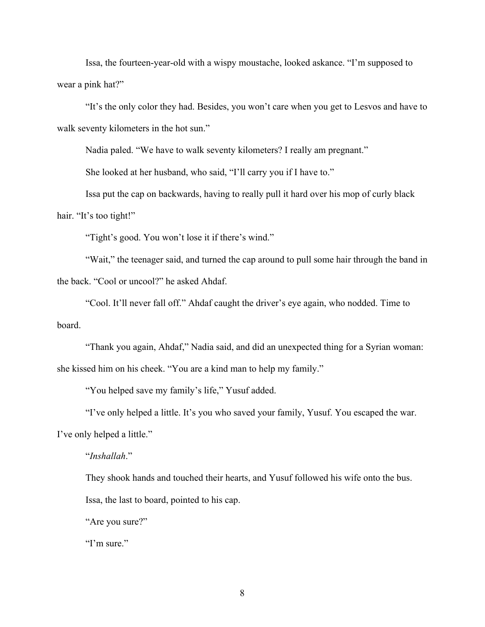Issa, the fourteen-year-old with a wispy moustache, looked askance. "I'm supposed to wear a pink hat?"

"It's the only color they had. Besides, you won't care when you get to Lesvos and have to walk seventy kilometers in the hot sun."

Nadia paled. "We have to walk seventy kilometers? I really am pregnant."

She looked at her husband, who said, "I'll carry you if I have to."

Issa put the cap on backwards, having to really pull it hard over his mop of curly black hair. "It's too tight!"

"Tight's good. You won't lose it if there's wind."

"Wait," the teenager said, and turned the cap around to pull some hair through the band in the back. "Cool or uncool?" he asked Ahdaf.

"Cool. It'll never fall off." Ahdaf caught the driver's eye again, who nodded. Time to board.

"Thank you again, Ahdaf," Nadia said, and did an unexpected thing for a Syrian woman: she kissed him on his cheek. "You are a kind man to help my family."

"You helped save my family's life," Yusuf added.

"I've only helped a little. It's you who saved your family, Yusuf. You escaped the war. I've only helped a little."

"*Inshallah*."

They shook hands and touched their hearts, and Yusuf followed his wife onto the bus. Issa, the last to board, pointed to his cap.

"Are you sure?"

"I'm sure."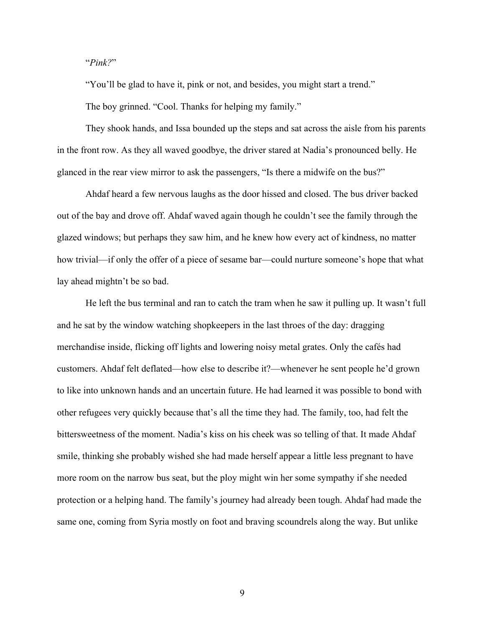## "*Pink?*"

"You'll be glad to have it, pink or not, and besides, you might start a trend."

The boy grinned. "Cool. Thanks for helping my family."

They shook hands, and Issa bounded up the steps and sat across the aisle from his parents in the front row. As they all waved goodbye, the driver stared at Nadia's pronounced belly. He glanced in the rear view mirror to ask the passengers, "Is there a midwife on the bus?"

Ahdaf heard a few nervous laughs as the door hissed and closed. The bus driver backed out of the bay and drove off. Ahdaf waved again though he couldn't see the family through the glazed windows; but perhaps they saw him, and he knew how every act of kindness, no matter how trivial—if only the offer of a piece of sesame bar—could nurture someone's hope that what lay ahead mightn't be so bad.

He left the bus terminal and ran to catch the tram when he saw it pulling up. It wasn't full and he sat by the window watching shopkeepers in the last throes of the day: dragging merchandise inside, flicking off lights and lowering noisy metal grates. Only the cafés had customers. Ahdaf felt deflated—how else to describe it?—whenever he sent people he'd grown to like into unknown hands and an uncertain future. He had learned it was possible to bond with other refugees very quickly because that's all the time they had. The family, too, had felt the bittersweetness of the moment. Nadia's kiss on his cheek was so telling of that. It made Ahdaf smile, thinking she probably wished she had made herself appear a little less pregnant to have more room on the narrow bus seat, but the ploy might win her some sympathy if she needed protection or a helping hand. The family's journey had already been tough. Ahdaf had made the same one, coming from Syria mostly on foot and braving scoundrels along the way. But unlike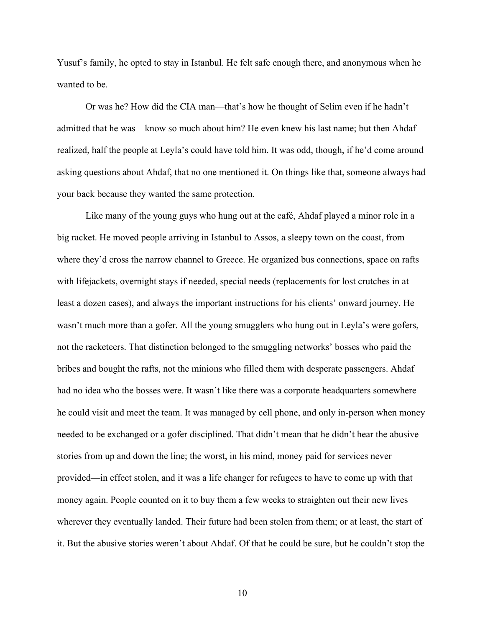Yusuf's family, he opted to stay in Istanbul. He felt safe enough there, and anonymous when he wanted to be.

Or was he? How did the CIA man—that's how he thought of Selim even if he hadn't admitted that he was—know so much about him? He even knew his last name; but then Ahdaf realized, half the people at Leyla's could have told him. It was odd, though, if he'd come around asking questions about Ahdaf, that no one mentioned it. On things like that, someone always had your back because they wanted the same protection.

Like many of the young guys who hung out at the café, Ahdaf played a minor role in a big racket. He moved people arriving in Istanbul to Assos, a sleepy town on the coast, from where they'd cross the narrow channel to Greece. He organized bus connections, space on rafts with lifejackets, overnight stays if needed, special needs (replacements for lost crutches in at least a dozen cases), and always the important instructions for his clients' onward journey. He wasn't much more than a gofer. All the young smugglers who hung out in Leyla's were gofers, not the racketeers. That distinction belonged to the smuggling networks' bosses who paid the bribes and bought the rafts, not the minions who filled them with desperate passengers. Ahdaf had no idea who the bosses were. It wasn't like there was a corporate headquarters somewhere he could visit and meet the team. It was managed by cell phone, and only in-person when money needed to be exchanged or a gofer disciplined. That didn't mean that he didn't hear the abusive stories from up and down the line; the worst, in his mind, money paid for services never provided—in effect stolen, and it was a life changer for refugees to have to come up with that money again. People counted on it to buy them a few weeks to straighten out their new lives wherever they eventually landed. Their future had been stolen from them; or at least, the start of it. But the abusive stories weren't about Ahdaf. Of that he could be sure, but he couldn't stop the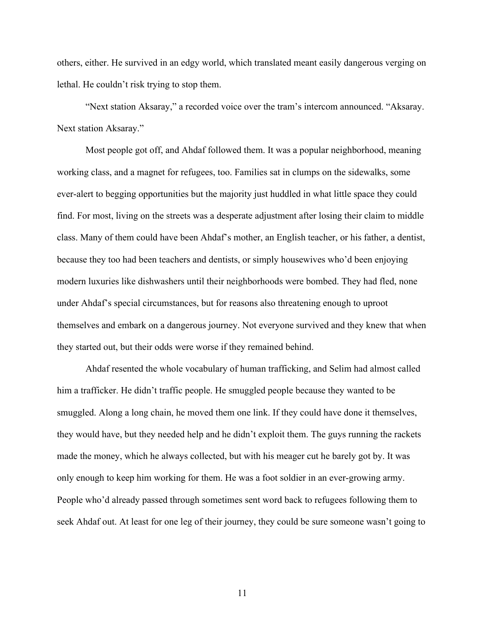others, either. He survived in an edgy world, which translated meant easily dangerous verging on lethal. He couldn't risk trying to stop them.

"Next station Aksaray," a recorded voice over the tram's intercom announced. "Aksaray. Next station Aksaray."

Most people got off, and Ahdaf followed them. It was a popular neighborhood, meaning working class, and a magnet for refugees, too. Families sat in clumps on the sidewalks, some ever-alert to begging opportunities but the majority just huddled in what little space they could find. For most, living on the streets was a desperate adjustment after losing their claim to middle class. Many of them could have been Ahdaf's mother, an English teacher, or his father, a dentist, because they too had been teachers and dentists, or simply housewives who'd been enjoying modern luxuries like dishwashers until their neighborhoods were bombed. They had fled, none under Ahdaf's special circumstances, but for reasons also threatening enough to uproot themselves and embark on a dangerous journey. Not everyone survived and they knew that when they started out, but their odds were worse if they remained behind.

Ahdaf resented the whole vocabulary of human trafficking, and Selim had almost called him a trafficker. He didn't traffic people. He smuggled people because they wanted to be smuggled. Along a long chain, he moved them one link. If they could have done it themselves, they would have, but they needed help and he didn't exploit them. The guys running the rackets made the money, which he always collected, but with his meager cut he barely got by. It was only enough to keep him working for them. He was a foot soldier in an ever-growing army. People who'd already passed through sometimes sent word back to refugees following them to seek Ahdaf out. At least for one leg of their journey, they could be sure someone wasn't going to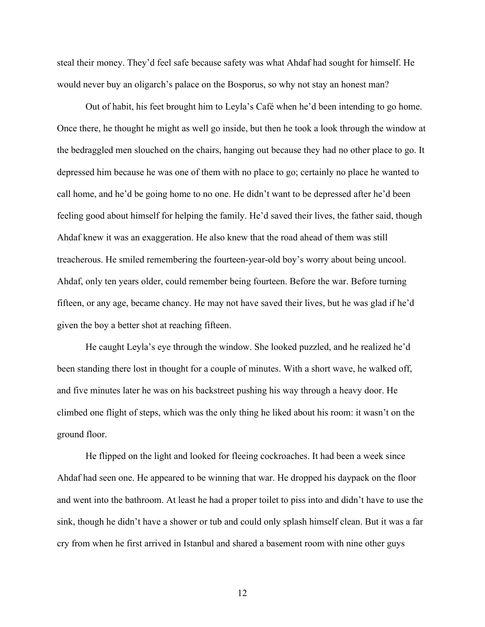steal their money. They'd feel safe because safety was what Ahdaf had sought for himself. He would never buy an oligarch's palace on the Bosporus, so why not stay an honest man?

Out of habit, his feet brought him to Leyla's Café when he'd been intending to go home. Once there, he thought he might as well go inside, but then he took a look through the window at the bedraggled men slouched on the chairs, hanging out because they had no other place to go. It depressed him because he was one of them with no place to go; certainly no place he wanted to call home, and he'd be going home to no one. He didn't want to be depressed after he'd been feeling good about himself for helping the family. He'd saved their lives, the father said, though Ahdaf knew it was an exaggeration. He also knew that the road ahead of them was still treacherous. He smiled remembering the fourteen-year-old boy's worry about being uncool. Ahdaf, only ten years older, could remember being fourteen. Before the war. Before turning fifteen, or any age, became chancy. He may not have saved their lives, but he was glad if he'd given the boy a better shot at reaching fifteen.

He caught Leyla's eye through the window. She looked puzzled, and he realized he'd been standing there lost in thought for a couple of minutes. With a short wave, he walked off, and five minutes later he was on his backstreet pushing his way through a heavy door. He climbed one flight of steps, which was the only thing he liked about his room: it wasn't on the ground floor.

He flipped on the light and looked for fleeing cockroaches. It had been a week since Ahdaf had seen one. He appeared to be winning that war. He dropped his daypack on the floor and went into the bathroom. At least he had a proper toilet to piss into and didn't have to use the sink, though he didn't have a shower or tub and could only splash himself clean. But it was a far cry from when he first arrived in Istanbul and shared a basement room with nine other guys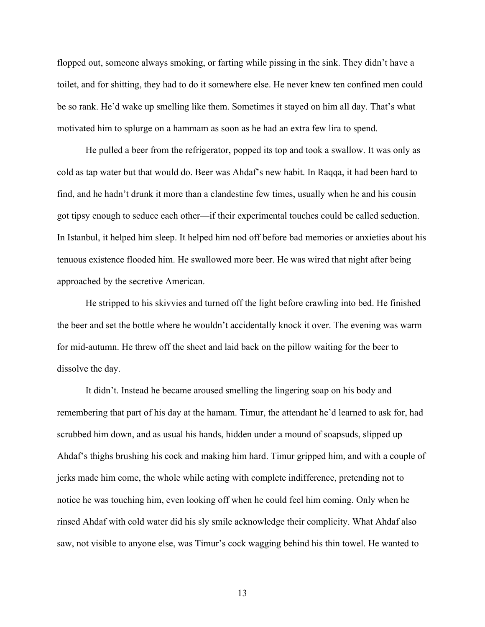flopped out, someone always smoking, or farting while pissing in the sink. They didn't have a toilet, and for shitting, they had to do it somewhere else. He never knew ten confined men could be so rank. He'd wake up smelling like them. Sometimes it stayed on him all day. That's what motivated him to splurge on a hammam as soon as he had an extra few lira to spend.

He pulled a beer from the refrigerator, popped its top and took a swallow. It was only as cold as tap water but that would do. Beer was Ahdaf's new habit. In Raqqa, it had been hard to find, and he hadn't drunk it more than a clandestine few times, usually when he and his cousin got tipsy enough to seduce each other—if their experimental touches could be called seduction. In Istanbul, it helped him sleep. It helped him nod off before bad memories or anxieties about his tenuous existence flooded him. He swallowed more beer. He was wired that night after being approached by the secretive American.

He stripped to his skivvies and turned off the light before crawling into bed. He finished the beer and set the bottle where he wouldn't accidentally knock it over. The evening was warm for mid-autumn. He threw off the sheet and laid back on the pillow waiting for the beer to dissolve the day.

It didn't. Instead he became aroused smelling the lingering soap on his body and remembering that part of his day at the hamam. Timur, the attendant he'd learned to ask for, had scrubbed him down, and as usual his hands, hidden under a mound of soapsuds, slipped up Ahdaf's thighs brushing his cock and making him hard. Timur gripped him, and with a couple of jerks made him come, the whole while acting with complete indifference, pretending not to notice he was touching him, even looking off when he could feel him coming. Only when he rinsed Ahdaf with cold water did his sly smile acknowledge their complicity. What Ahdaf also saw, not visible to anyone else, was Timur's cock wagging behind his thin towel. He wanted to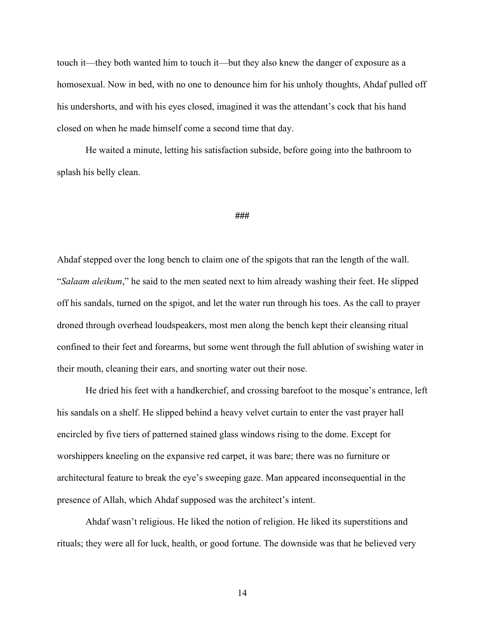touch it—they both wanted him to touch it—but they also knew the danger of exposure as a homosexual. Now in bed, with no one to denounce him for his unholy thoughts, Ahdaf pulled off his undershorts, and with his eyes closed, imagined it was the attendant's cock that his hand closed on when he made himself come a second time that day.

He waited a minute, letting his satisfaction subside, before going into the bathroom to splash his belly clean.

#### **###**

Ahdaf stepped over the long bench to claim one of the spigots that ran the length of the wall. "*Salaam aleikum*," he said to the men seated next to him already washing their feet. He slipped off his sandals, turned on the spigot, and let the water run through his toes. As the call to prayer droned through overhead loudspeakers, most men along the bench kept their cleansing ritual confined to their feet and forearms, but some went through the full ablution of swishing water in their mouth, cleaning their ears, and snorting water out their nose.

He dried his feet with a handkerchief, and crossing barefoot to the mosque's entrance, left his sandals on a shelf. He slipped behind a heavy velvet curtain to enter the vast prayer hall encircled by five tiers of patterned stained glass windows rising to the dome. Except for worshippers kneeling on the expansive red carpet, it was bare; there was no furniture or architectural feature to break the eye's sweeping gaze. Man appeared inconsequential in the presence of Allah, which Ahdaf supposed was the architect's intent.

Ahdaf wasn't religious. He liked the notion of religion. He liked its superstitions and rituals; they were all for luck, health, or good fortune. The downside was that he believed very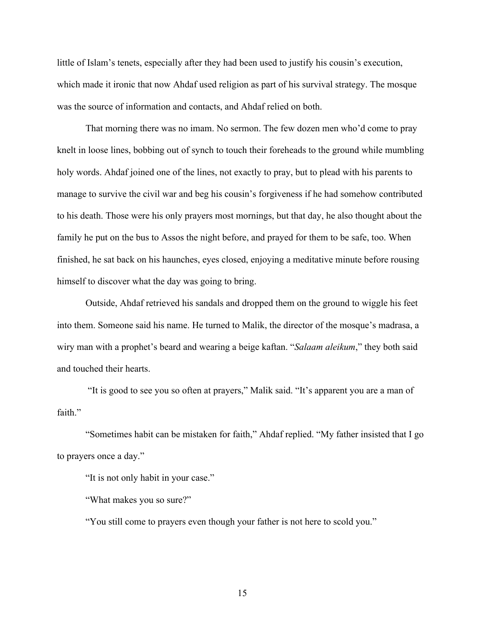little of Islam's tenets, especially after they had been used to justify his cousin's execution, which made it ironic that now Ahdaf used religion as part of his survival strategy. The mosque was the source of information and contacts, and Ahdaf relied on both.

That morning there was no imam. No sermon. The few dozen men who'd come to pray knelt in loose lines, bobbing out of synch to touch their foreheads to the ground while mumbling holy words. Ahdaf joined one of the lines, not exactly to pray, but to plead with his parents to manage to survive the civil war and beg his cousin's forgiveness if he had somehow contributed to his death. Those were his only prayers most mornings, but that day, he also thought about the family he put on the bus to Assos the night before, and prayed for them to be safe, too. When finished, he sat back on his haunches, eyes closed, enjoying a meditative minute before rousing himself to discover what the day was going to bring.

Outside, Ahdaf retrieved his sandals and dropped them on the ground to wiggle his feet into them. Someone said his name. He turned to Malik, the director of the mosque's madrasa, a wiry man with a prophet's beard and wearing a beige kaftan. "*Salaam aleikum*," they both said and touched their hearts.

"It is good to see you so often at prayers," Malik said. "It's apparent you are a man of faith."

"Sometimes habit can be mistaken for faith," Ahdaf replied. "My father insisted that I go to prayers once a day."

"It is not only habit in your case."

"What makes you so sure?"

"You still come to prayers even though your father is not here to scold you."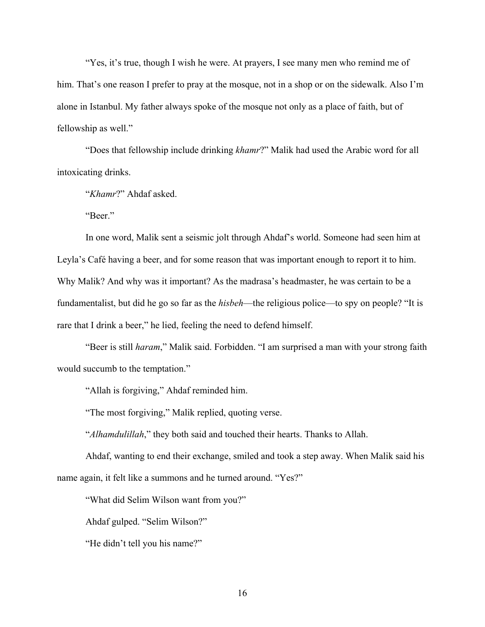"Yes, it's true, though I wish he were. At prayers, I see many men who remind me of him. That's one reason I prefer to pray at the mosque, not in a shop or on the sidewalk. Also I'm alone in Istanbul. My father always spoke of the mosque not only as a place of faith, but of fellowship as well."

"Does that fellowship include drinking *khamr*?" Malik had used the Arabic word for all intoxicating drinks.

"*Khamr*?" Ahdaf asked.

"Beer."

In one word, Malik sent a seismic jolt through Ahdaf's world. Someone had seen him at Leyla's Café having a beer, and for some reason that was important enough to report it to him. Why Malik? And why was it important? As the madrasa's headmaster, he was certain to be a fundamentalist, but did he go so far as the *hisbeh*—the religious police—to spy on people? "It is rare that I drink a beer," he lied, feeling the need to defend himself.

"Beer is still *haram*," Malik said. Forbidden. "I am surprised a man with your strong faith would succumb to the temptation."

"Allah is forgiving," Ahdaf reminded him.

"The most forgiving," Malik replied, quoting verse.

"*Alhamdulillah*," they both said and touched their hearts. Thanks to Allah.

Ahdaf, wanting to end their exchange, smiled and took a step away. When Malik said his name again, it felt like a summons and he turned around. "Yes?"

"What did Selim Wilson want from you?"

Ahdaf gulped. "Selim Wilson?"

"He didn't tell you his name?"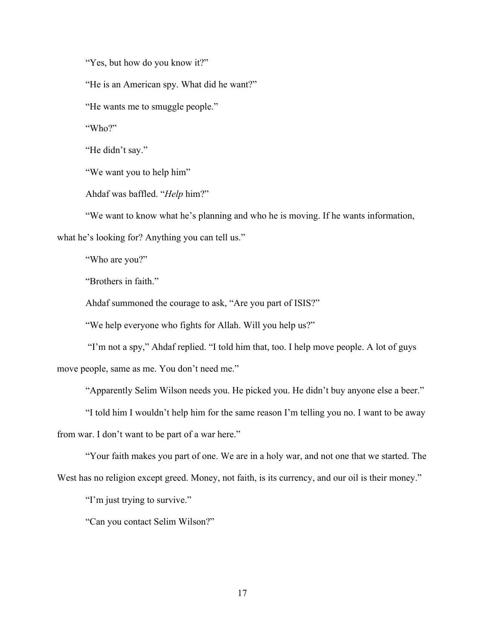"Yes, but how do you know it?"

"He is an American spy. What did he want?"

"He wants me to smuggle people."

"Who?"

"He didn't say."

"We want you to help him"

Ahdaf was baffled. "*Help* him?"

"We want to know what he's planning and who he is moving. If he wants information,

what he's looking for? Anything you can tell us."

"Who are you?"

"Brothers in faith."

Ahdaf summoned the courage to ask, "Are you part of ISIS?"

"We help everyone who fights for Allah. Will you help us?"

"I'm not a spy," Ahdaf replied. "I told him that, too. I help move people. A lot of guys move people, same as me. You don't need me."

"Apparently Selim Wilson needs you. He picked you. He didn't buy anyone else a beer."

"I told him I wouldn't help him for the same reason I'm telling you no. I want to be away from war. I don't want to be part of a war here."

"Your faith makes you part of one. We are in a holy war, and not one that we started. The West has no religion except greed. Money, not faith, is its currency, and our oil is their money."

"I'm just trying to survive."

"Can you contact Selim Wilson?"